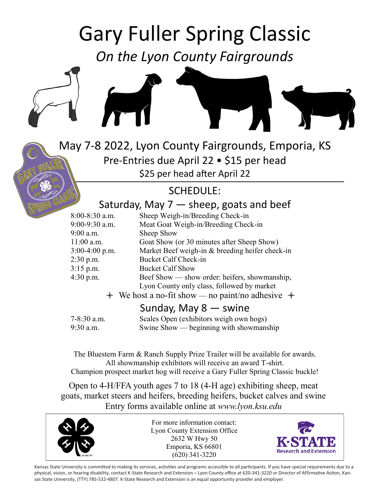# Gary Fuller Spring Classic

*On the Lyon County Fairgrounds*





May 7-8 2022, Lyon County Fairgrounds, Emporia, KS Pre-Entries due April 22 • \$15 per head \$25 per head after April 22

## SCHEDULE:

## Saturday, May  $7$   $-$  sheep, goats and beef

| $8:00 - 8:30$ a.m. | Sheep Weigh-in/Breeding Check-in                           |
|--------------------|------------------------------------------------------------|
| 9:00-9:30 a.m.     | Meat Goat Weigh-in/Breeding Check-in                       |
| 9:00 a.m.          | Sheep Show                                                 |
| $11:00$ a.m.       | Goat Show (or 30 minutes after Sheep Show)                 |
| $3:00-4:00$ p.m.   | Market Beef weigh-in & breeding heifer check-in            |
| $2:30$ p.m.        | <b>Bucket Calf Check-in</b>                                |
| $3:15$ p.m.        | <b>Bucket Calf Show</b>                                    |
| $4:30$ p.m.        | Beef Show — show order: heifers, showmanship,              |
|                    | Lyon County only class, followed by market                 |
|                    | $\div$ We host a no-fit show — no paint/no adhesive $\div$ |
|                    | Sunday, May $8 -$ swine                                    |
|                    |                                                            |

| 7-8:30 a.m. | Scales Open (exhibitors weigh own hogs) |
|-------------|-----------------------------------------|
| 9:30 a.m.   | Swine Show — beginning with showmanship |

The Bluestem Farm & Ranch Supply Prize Trailer will be available for awards. All showmanship exhibitors will receive an award T-shirt. Champion prospect market hog will receive a Gary Fuller Spring Classic buckle!

Open to 4-H/FFA youth ages 7 to 18 (4-H age) exhibiting sheep, meat goats, market steers and heifers, breeding heifers, bucket calves and swine Entry forms available online at *www.lyon.ksu.edu*



For more information contact: Lyon County Extension Office 2632 W Hwy 50 Emporia, KS 66801 (620) 341-3220



Kansas State University is committed to making its services, activities and programs accessible to all participants. If you have special requirements due to a physical, vision, or hearing disability, contact K-State Research and Extension – Lyon County office at 620-341-3220 or Director of Affirmative Action, Kansas State University, (TTY) 785-532-4807. K-State Research and Extension is an equal opportunity provider and employer.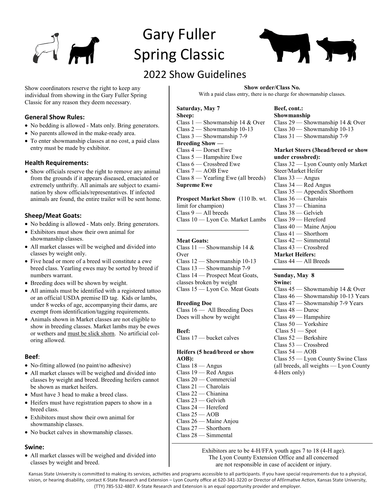

## Gary Fuller Spring Classic



## 2022 Show Guidelines

Show coordinators reserve the right to keep any individual from showing in the Gary Fuller Spring Classic for any reason they deem necessary.

#### **General Show Rules:**

- No bedding is allowed Mats only. Bring generators.
- No parents allowed in the make-ready area.
- To enter showmanship classes at no cost, a paid class entry must be made by exhibitor.

#### **Health Requirements:**

• Show officials reserve the right to remove any animal from the grounds if it appears diseased, emaciated or extremely unthrifty. All animals are subject to examination by show officials/representatives. If infected animals are found, the entire trailer will be sent home.

#### **Sheep/Meat Goats:**

- No bedding is allowed Mats only. Bring generators.
- Exhibitors must show their own animal for showmanship classes.
- All market classes will be weighed and divided into classes by weight only.
- Five head or more of a breed will constitute a ewe breed class. Yearling ewes may be sorted by breed if numbers warrant.
- Breeding does will be shown by weight.
- All animals must be identified with a registered tattoo or an official USDA premise ID tag. Kids or lambs, under 8 weeks of age, accompanying their dams, are exempt from identification/tagging requirements.
- Animals shown in Market classes are not eligible to show in breeding classes. Market lambs may be ewes or wethers and must be slick shorn. No artificial coloring allowed.

#### **Beef**:

- No-fitting allowed (no paint/no adhesive)
- All market classes will be weighed and divided into classes by weight and breed. Breeding heifers cannot be shown as market heifers.
- Must have 3 head to make a breed class.
- Heifers must have registration papers to show in a breed class.
- Exhibitors must show their own animal for showmanship classes.
- No bucket calves in showmanship classes.

#### **Swine:**

 All market classes will be weighed and divided into classes by weight and breed.

**Show order/Class No.**  With a paid class entry, there is no charge for showmanship classes.

**Saturday, May 7 Sheep:** Class 1 — Showmanship 14 & Over Class 2 — Showmanship 10-13

Class 3 — Showmanship 7-9 **Breeding Show —** Class 4 — Dorset Ewe Class 5 — Hampshire Ewe Class 6 — Crossbred Ewe Class 7 — AOB Ewe Class 8 — Yearling Ewe (all breeds) **Supreme Ewe**

**Prospect Market Show** (110 lb. wt. limit for champion) Class 9 — All breeds Class 10 — Lyon Co. Market Lambs

#### **Meat Goats:**

Class 11 — Showmanship 14 & **Over** Class 12 — Showmanship 10-13 Class 13 — Showmanship 7-9 Class 14 — Prospect Meat Goats, classes broken by weight Class 15 — Lyon Co. Meat Goats

#### **Breeding Doe**

Class 16 — All Breeding Does Does will show by weight

**Beef:** Class 17 — bucket calves

#### **Heifers (5 head/breed or show AOB):**

Class 18 — Angus Class 19 — Red Angus Class 20 — Commercial Class 21 — Charolais Class 22 — Chianina Class 23 — Gelvieh Class 24 — Hereford Class 25 — AOB Class 26 — Maine Anjou Class 27 — Shorthorn Class 28 — Simmental

#### **Beef, cont.: Showmanship**

Class 29 — Showmanship 14 & Over Class 30 — Showmanship 10-13 Class 31 — Showmanship 7-9

#### **Market Steers (3head/breed or show under crossbred):**

Class 32 — Lyon County only Market Steer/Market Heifer Class 33 — Angus Class 34 — Red Angus Class 35 — Appendix Shorthorn Class 36 — Charolais Class 37 — Chianina Class 38 — Gelvieh Class 39 — Hereford Class 40 — Maine Anjou Class 41 — Shorthorn Class 42 — Simmental Class 43 — Crossbred **Market Heifers:** Class 44 — All Breeds

#### **Sunday, May 8**

**Swine:** Class 45 — Showmanship 14 & Over Class 46 — Showmanship 10-13 Years Class 47 — Showmanship 7-9 Years Class 48 — Duroc Class 49 — Hampshire Class 50 — Yorkshire Class 51 — Spot Class 52 — Berkshire Class 53 — Crossbred  $Class 54 - AOB$ Class 55 — Lyon County Swine Class (all breeds, all weights — Lyon County 4-Hers only)

Exhibitors are to be 4-H/FFA youth ages 7 to 18 (4-H age). The Lyon County Extension Office and all concerned are not responsible in case of accident or injury.

Kansas State University is committed to making its services, activities and programs accessible to all participants. If you have special requirements due to a physical, vision, or hearing disability, contact K-State Research and Extension – Lyon County office at 620-341-3220 or Director of Affirmative Action, Kansas State University, (TTY) 785-532-4807. K-State Research and Extension is an equal opportunity provider and employer.